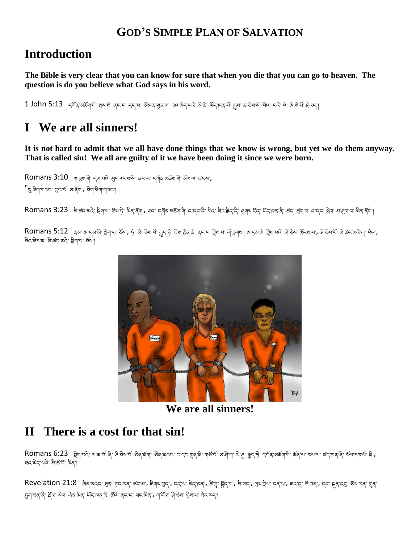### **GOD'S SIMPLE PLAN OF SALVATION**

# **Introduction**

**The Bible is very clear that you can know for sure that when you die that you can go to heaven. The question is do you believe what God says in his word.**

 $1$  John 5:13  $\,$  དཀོན་མகོག་གི་ སྲས་མི་ ནང་ང་ དད་པ་ རོ་ལུན་གྲུན་ལ་ རُབའ་མི་མི་མོ་ ་རྱི་མོ་ རྱིས་མི་་རྱིས་མི་ རེ་ལི་་་རེ་ རེ་ལི་་རྱི་རེ་

# **I We are all sinners!**

**It is not hard to admit that we all have done things that we know is wrong, but yet we do them anyway. That is called sin! We all are guilty of it we have been doing it since we were born.**

Romans 3:10 *ཀ*་རྒྱག་གེ་ དམ་པའེ་ སུང་རབས་སེ་ ནང་ང་ དཀོན་མகོག་གེ་ མོལ་ལ་ ངོདས་, "སུ་ནིག་གའང་ དང་པོ་ མ་རོག་**,** ତି୩་ତି୩་གའང་།

Romans 3:23 बेज्क्ंदबले क्लेणरा ऊॅबाफे क्षेत्र कॅ्वा, ਘर दगॅब कर्कवाया राद्दर खेल के रहेदारी खुबाबार्देन संदायबादी करा खुबारा राद्द क्लेण बाह्या बाह्या के अनु

Romans 5:12 ་ནམ་ མ་དམ་མི་ སྲིག་པ་ རོས་, དེ་ མི་ རིག་པོ་ རྒྱུད་)་ རིག་རེན་ནེ་ ནང་ང་ སྲིག་ལ་ གོ་རྱུགས་। མ་དམ་མི་ སྲིག་པའེ་ རེ་རེན་རོན་ མི་རོ་ མི་རོན་རོ་ མི་རོན་་རོ་ མི་རོ་ མི་རོ་ উন্'ন্ন্ম' & 'कॅट अने' अयान के



**We are all sinners!**

#### **II There is a cost for that sin!**

Romans 6:23 སྲིག་པའེ་ ལ་མ་པོ་ ནི་ ନ୍ୱି་རིས་པོ་ ଊୖན་ནོག་| ଊୖན་ནའང་ ང་དང་གྲུན་ནེ་ གརོས་མོ་ མ་་) ལེ་ན་ मु་, ར་དོར་ས་རྱོ་ རེ་, ন্নৰ ৰম্বাৰ কৰি কাৰী

Revelation 21:8 ٱلْمَاتِمِ अब्द्र कुमाक् के कार के अन्यान के अन्यान के अन्यान के स्वर्ग के अन्यान के अन्यान के ্দৃশ্ভ্ৰূ'ৰ্ন্, ইঁব্, গুব, ঙ্গুৰ্'ঞ্জৰ, গুঁহ'ন্নৰ'ৰ্ব্, কুত্ত্ব' ধৰাজ্ঞাৰ', শাৰ্ব্ব্ব, ধৃঞ্জৰ, গুৱাব্য, শ্ৰমা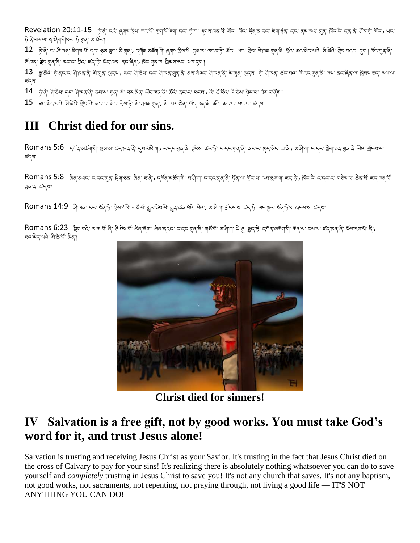Revelation 20:11-15 நेड़ो स्वे बुषाबाह्नेबा गरायें ग्रुपायें बिया हिंदी के अनुसार का लिया हो कर हैं हमाईन हर बबायव सुबा लिया है, दबादों स्वानी असा, अह ক্ট'ৰ্'খৰ'ৰ" মু'ৰ্জৰা'য়াৰ' ক'ৰ্মুৰ' ৰ'ৰ্ষ="

12 ট.क्. ८. मुं।जब. हवाबास. ८८. बेथाञ्चेट. थ्राओंबे. ८-ग्रेष अक्टूबोबी. खिळाडूल, टेबला लाटबाडे, घूट. बाज सीजर अ ভাঁঘৰ, জুঁন'নাৰ'ৰ প্ৰাৰাজ্য হান'ৰ ফুটা আৰু অৱৰীৰ অনুৰুষী আৰু প্ৰাৰাজ্য কৰা প্ৰাৰাজ্য কৰা

13 རྒྱ༌ཚོའེ༌ ཏེ༌ནང༌ང༌ ཤི༌ཁན༌ནི༌ མི༌གུན༌ ཕུདས༌, ཡང༌ ཤི༌ཅེས༌ དང༌ ཤི༌ཁན༌གུན༌ནི༌ ནས༌སེའང༌ ཤི༌ཁན༌ནི༌ མི༌གུན༌ ཕུདས༌། ཏེ༌ ཤི༌ཁན༌ ཚང༌མའ༌ ཁོ༌རང༌གུན༌ནི༌ ལས༌ ནང༌ཞིན༌ལ༌ ཁིམས༌ཅད༌ སལ༌ལ༌ ཛདས༌།

14 ་དེ་ནེ་ བི་རེ་ནི་་ནི་ བོན་ནི་ ནས་ས་ གྲན་ མེ་ བར་སེན་ ལོང་་བན་ནེ་ རོནི་ ནང་ང་ ལངས་, འི་ རོ་རོན་ མོ་ནོ་ རོན་ ནོ་

 $15$  ସେର୍ଡ଼ିମ୍ୟର୍ ଶିଂଇଁର୍ ୱିସଂସିଂ ଶ୍ରମ୍ୟ ଶିସ୍ପ ସିଷ୍ପାନ୍ତି ଶିସ୍ପାଷ୍ଟ୍ରମ୍ଭ, ଶିଂ ସ୍ୟାଷିଙ୍ଗ୍ ଉଁମ୍ପେଶ୍ୱର୍ଟ୍ ଇଁର୍ ଶ୍ରମ୍ୟ ଏସ୍ଟ୍ କ୍ୟେଣ୍

# **III Christ died for our sins.**

Romans 5:6 རཀོན་མརོག་གི་ ལུམ་མ་ ངོད་གུན་ནི་ དུས་པོའེ་ཀ་, ང་དང་གུན་ནེ་ སྲོབས་ རོད་དང་གུན་ནེ་ ནང་ང་ གྱུད་མེན་, མ་བི་ཀ་ ང་དང་ སྲིག་ནུན་གྱུན་ནེ་ ধ៝ལ་ གྱོངས་ས་ ཛདས༌།

Romans 5:8 ଊୖଵ་ནའང་ ང་དང་གུན་ སིག་ན་ མིན་ ਜਰੇ་, ང་ཀོན་མརོམ་མ་མོ་མ་་་ནོན་་རོ་་གུན་ནོ་ ་རོང་གྱུན་་་་་་་་་་་་་་ སན༌ན༌ ཛདས༌།

Romans 14:9 ଶ୍ୱିାଘ୍ସୁ ମ୍ବୁ. ଷ୍ଟ୍ରିଟ୍) ନିଷ୍ୟାନ୍ତି । ଶ୍ୱାଞ୍ଜିସିଂ କ୍ଷୁୟୁତ୍ତି ଶୁଷ୍ଟାଇଁ କିମ୍ବା, ଶାକ୍ଷ୍ୟା ଶୁମୁଖାଏ ାସ୍ଟ୍ରେମ୍ ଉମ୍ବୋଧି ।

Romans 6:23 སིག༌པའེ༌ ལ༌ཆ༌བོ༌ ནི༌ ཤི༌ཅེས༌པོ༌ ཨིན༌ནོག༌། ཨིན༌ནའང༌ ང༌དང༌གུན༌ནི༌ གཙོ༌བོ༌ མ༌ཤི༌ཀ༌ ཡེ༌ཤུ༌ རྒྱུད༌ཏེ༌ དཀོན༌མཆོག༌གི༌ ཆོན༌ལ༌ སལ༌ལ༌ ཛད༌ཁན༌ནི༌ སོལ༌རས༌པོ༌ ནི༌, ন্নৰ ৰম্বাৰ কাৰী ৰাষ্টি



**Christ died for sinners!**

# **IV Salvation is a free gift, not by good works. You must take God's word for it, and trust Jesus alone!**

Salvation is trusting and receiving Jesus Christ as your Savior. It's trusting in the fact that Jesus Christ died on the cross of Calvary to pay for your sins! It's realizing there is absolutely nothing whatsoever you can do to save yourself and *completely* trusting in Jesus Christ to save you! It's not any church that saves. It's not any baptism, not good works, not sacraments, not repenting, not praying through, not living a good life — IT'S NOT ANYTHING YOU CAN DO!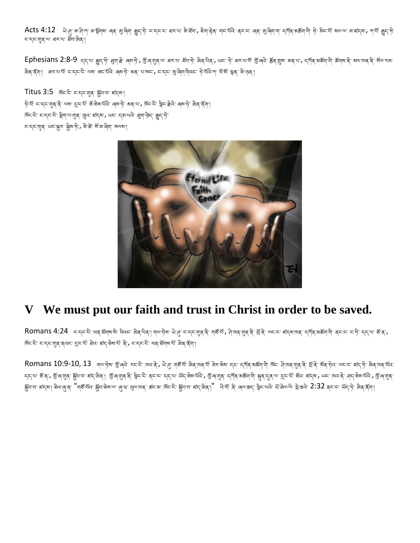Acts 4:12 ਘੇ:ਬ੍ਰਾ ਕਾੜ੍ਹੇਆ ਕਾਝ਼ੱਧਕਾ ਕਰ ਲਾਕੇਗ ਗ਼ੂਨ੍ਹਾਂ, ਨਾਨਨਾਨ ਬਨਾਧਾ ਕਾਬੱਕਾ, ਵੇਗਾੜ੍ਹੇਰਾ ਗਨਾਲੋਕਾਂ ਕਰ ਲਾਕੇਗੀਆਂ ਨੂੰ ਕੇਸਲੋਂ ਕਾਬਾਕਾ ਕਾਵਨਕਾ, ਆੱਧਾ ਗ਼ੂਨ੍ਹਾਂ হ'দ্দ'গ্ৰুৰ্'ঋ ৰুম'ৰ ছঁব'ঞ্জৰ'|

Ephesians 2:8-9 དད་པ་ རྒྱུད་དེ་ མྱག་རེ་ ་ མྱོ་ན་སྱོན་ལ་ རར་པ་ རོབ་དེ་ མིན་པེན་, ལང་ དེ་ མར་པ་པོ་ ལྱོ་མན་་ རོན་གྱུས་ མན་པ་, དཀོན་མརོག་གེ་ རོགས་ནེ་ སོལ་རས་ લે, के ब्लैथुआ बिन्दुल्फ्का स्ट्रैक्ट्रे स्था क्ष्मदेखि । अस्टी अर्थन् स्थान् स्टेन्स् अर्थियाम् अस्ति । अर्थन

Titus 3:5 लॅंद' द'दद'शुरू' क्लैंच'य' ह्र्या केलू स्टूट्रेले अथ, ट्रेस्ट्रू, अब्दुल्लासुर, खेल्डे, अर्थन, प्रूस्ट, क्लैस्ड्रेन, खेल्डे, अर्थ्यूजी હ્મદૂ: દ.स्ट. हुब्रोत.ब्रीथं, ख़िंउ: ह्रस्क. लट. सेब.लंड्र. धि.क्षेट्र. ब्रैट.हे. ८ द्दुशुद्ध थटाञ्जूर क्लेष हैं, अञ्चल के अञ्चल



# **V We must put our faith and trust in Christ in order to be saved.**

Romans 4:24 كام جرجة بعام الله الله العالم الله الله الله بعد الله عليه الله الله الله الله الله المعنى الله عليه الله الله المعنى المعنى المعنى المعنى المعنى المعنى المعنى المعنى المعنى المعنى المعنى المعنى المعنى المع ৰ্শিন'নী ন'ব্ৰুজ্জ্বৰে প্ৰদাসীৰ কাম কৰা বিদেশ্যৰ বিদেশ কৰি বিদেশ কৰি বিদেশ কৰি আৰু কৰি

Romans 10:9-10, 13 གལ་དེས་ སོུ་ནེལ་ རང་ངི་ ་ལའ་ནེ་, ལེ་བུ་ གརོརོ་་ མིན་་ལན་རོན་ རེར་རེས་ དང་ དཀོན་མརོམ་ གོར་ རོན་གྱོན་ རོན་རོན་ མོན་བན་རོན་ མོན་བན་རོན་ དད་པ་ ङॅན་, बॖॅ॰,ལུན་ སྐྱོབ་ རོད་སེན་। ब्हॅ॰,ལུན་ སྐྱིང་རི་ ནང་ང་ དད་པ་ ལོང་རُམ་པོའེ་, ब्लॅ:श्जुब, དཀོན་མརོན་གྲུན་མ་རོན་་ རོད་རོ་་ རོན་, ལང་ ལའ་ནེ་ ནང་རོལ་པོའེ་, ब्लॅःशुब्' 'शु॰, ལུབ་ རོ জুঁন'ন' ऍন্ম' উন'ৰ্'ৰ', "আৰ্কুন্ন' স্কুন'ৰ্জখ'ৰ' ধৰাৰৰ' কৰাৰ বিৰোধ কৰাৰ 'সুন'ৰ' বিৰোধ জীৱত বিৰোধ খণ্ডা গ্ৰাজন' ২:32 ব্ৰান' অঁন'টা গ্ৰাজৰী।